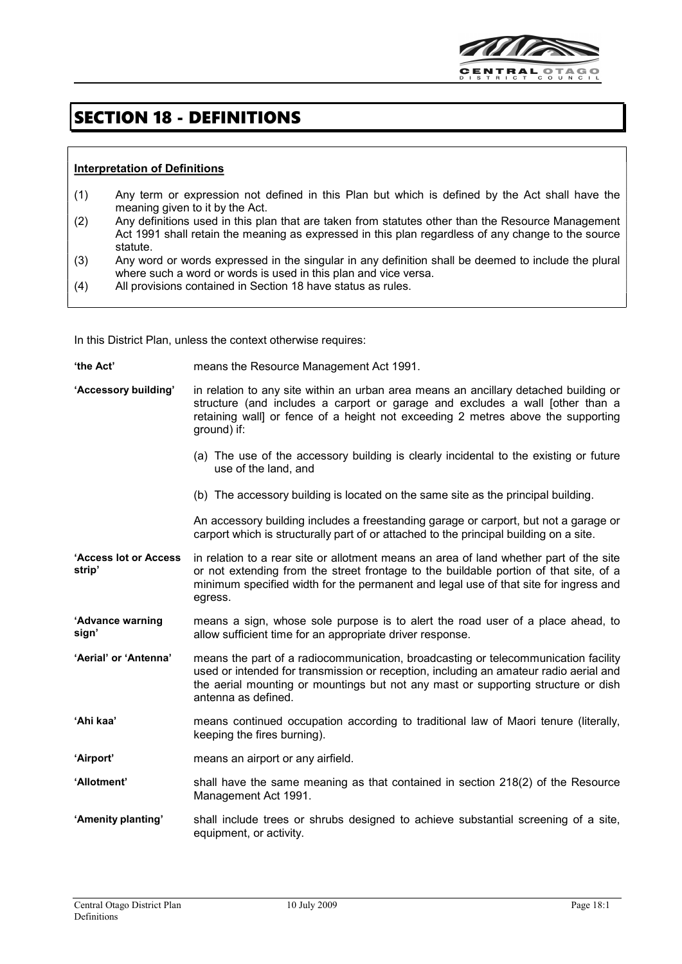

## SECTION 18 - DEFINITIONS

## Interpretation of Definitions

 $\overline{\phantom{a}}$ 

- (1) Any term or expression not defined in this Plan but which is defined by the Act shall have the meaning given to it by the Act.
- (2) Any definitions used in this plan that are taken from statutes other than the Resource Management Act 1991 shall retain the meaning as expressed in this plan regardless of any change to the source statute.
- (3) Any word or words expressed in the singular in any definition shall be deemed to include the plural where such a word or words is used in this plan and vice versa.
- (4) All provisions contained in Section 18 have status as rules.

In this District Plan, unless the context otherwise requires:

- 'the Act' means the Resource Management Act 1991.
- 'Accessory building' in relation to any site within an urban area means an ancillary detached building or structure (and includes a carport or garage and excludes a wall [other than a retaining wall] or fence of a height not exceeding 2 metres above the supporting ground) if:
	- (a) The use of the accessory building is clearly incidental to the existing or future use of the land, and
	- (b) The accessory building is located on the same site as the principal building.

An accessory building includes a freestanding garage or carport, but not a garage or carport which is structurally part of or attached to the principal building on a site.

'Access lot or Access strip' in relation to a rear site or allotment means an area of land whether part of the site or not extending from the street frontage to the buildable portion of that site, of a minimum specified width for the permanent and legal use of that site for ingress and egress.

'Advance warning sign' means a sign, whose sole purpose is to alert the road user of a place ahead, to allow sufficient time for an appropriate driver response.

'Aerial' or 'Antenna' means the part of a radiocommunication, broadcasting or telecommunication facility used or intended for transmission or reception, including an amateur radio aerial and the aerial mounting or mountings but not any mast or supporting structure or dish antenna as defined.

- 'Ahi kaa' means continued occupation according to traditional law of Maori tenure (literally, keeping the fires burning).
- 'Airport' means an airport or any airfield.
- 'Allotment' shall have the same meaning as that contained in section 218(2) of the Resource Management Act 1991.
- 'Amenity planting' shall include trees or shrubs designed to achieve substantial screening of a site, equipment, or activity.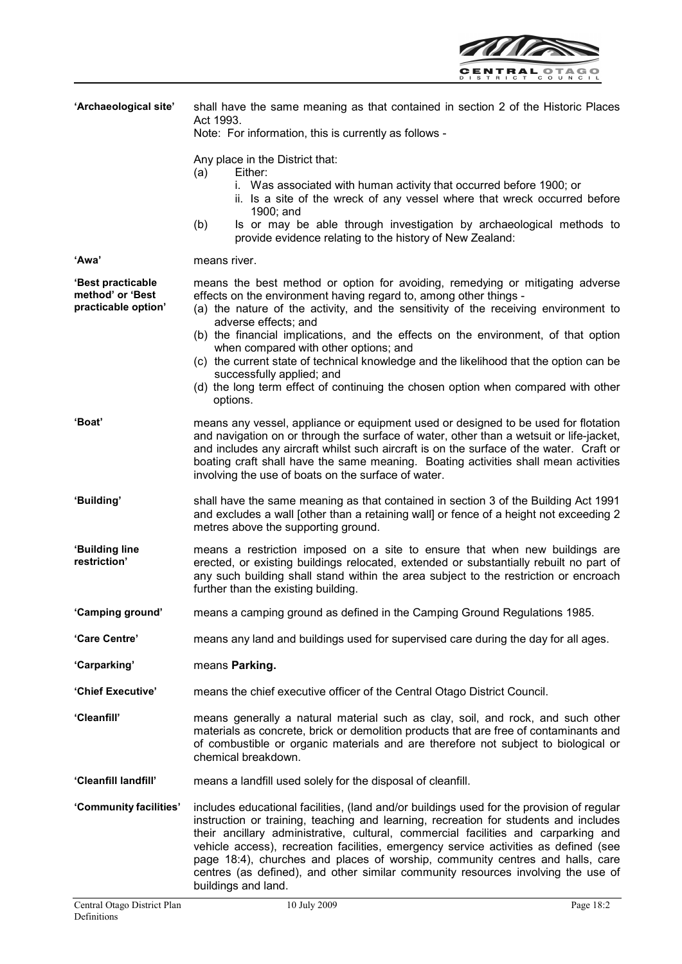

| 'Archaeological site'                                        | shall have the same meaning as that contained in section 2 of the Historic Places<br>Act 1993.<br>Note: For information, this is currently as follows -                                                                                                                                                                                                                                                                                                                                                                                                                                                                  |
|--------------------------------------------------------------|--------------------------------------------------------------------------------------------------------------------------------------------------------------------------------------------------------------------------------------------------------------------------------------------------------------------------------------------------------------------------------------------------------------------------------------------------------------------------------------------------------------------------------------------------------------------------------------------------------------------------|
|                                                              | Any place in the District that:<br>Either:<br>(a)<br>i. Was associated with human activity that occurred before 1900; or<br>ii. Is a site of the wreck of any vessel where that wreck occurred before<br>1900; and<br>Is or may be able through investigation by archaeological methods to<br>(b)<br>provide evidence relating to the history of New Zealand:                                                                                                                                                                                                                                                            |
| 'Awa'                                                        | means river.                                                                                                                                                                                                                                                                                                                                                                                                                                                                                                                                                                                                             |
| 'Best practicable<br>method' or 'Best<br>practicable option' | means the best method or option for avoiding, remedying or mitigating adverse<br>effects on the environment having regard to, among other things -<br>(a) the nature of the activity, and the sensitivity of the receiving environment to<br>adverse effects; and<br>(b) the financial implications, and the effects on the environment, of that option<br>when compared with other options; and<br>(c) the current state of technical knowledge and the likelihood that the option can be<br>successfully applied; and<br>(d) the long term effect of continuing the chosen option when compared with other<br>options. |
| <b>'Boat'</b>                                                | means any vessel, appliance or equipment used or designed to be used for flotation<br>and navigation on or through the surface of water, other than a wetsuit or life-jacket,<br>and includes any aircraft whilst such aircraft is on the surface of the water. Craft or<br>boating craft shall have the same meaning. Boating activities shall mean activities<br>involving the use of boats on the surface of water.                                                                                                                                                                                                   |
| 'Building'                                                   | shall have the same meaning as that contained in section 3 of the Building Act 1991<br>and excludes a wall [other than a retaining wall] or fence of a height not exceeding 2<br>metres above the supporting ground.                                                                                                                                                                                                                                                                                                                                                                                                     |
| 'Building line<br>restriction'                               | means a restriction imposed on a site to ensure that when new buildings are<br>erected, or existing buildings relocated, extended or substantially rebuilt no part of<br>any such building shall stand within the area subject to the restriction or encroach<br>further than the existing building.                                                                                                                                                                                                                                                                                                                     |
| 'Camping ground'                                             | means a camping ground as defined in the Camping Ground Regulations 1985.                                                                                                                                                                                                                                                                                                                                                                                                                                                                                                                                                |
| 'Care Centre'                                                | means any land and buildings used for supervised care during the day for all ages.                                                                                                                                                                                                                                                                                                                                                                                                                                                                                                                                       |
| 'Carparking'                                                 | means Parking.                                                                                                                                                                                                                                                                                                                                                                                                                                                                                                                                                                                                           |
| 'Chief Executive'                                            | means the chief executive officer of the Central Otago District Council.                                                                                                                                                                                                                                                                                                                                                                                                                                                                                                                                                 |
| 'Cleanfill'                                                  | means generally a natural material such as clay, soil, and rock, and such other<br>materials as concrete, brick or demolition products that are free of contaminants and<br>of combustible or organic materials and are therefore not subject to biological or<br>chemical breakdown.                                                                                                                                                                                                                                                                                                                                    |
| 'Cleanfill landfill'                                         | means a landfill used solely for the disposal of cleanfill.                                                                                                                                                                                                                                                                                                                                                                                                                                                                                                                                                              |
| 'Community facilities'                                       | includes educational facilities, (land and/or buildings used for the provision of regular<br>instruction or training, teaching and learning, recreation for students and includes<br>their ancillary administrative, cultural, commercial facilities and carparking and<br>vehicle access), recreation facilities, emergency service activities as defined (see<br>page 18:4), churches and places of worship, community centres and halls, care<br>centres (as defined), and other similar community resources involving the use of<br>buildings and land.                                                              |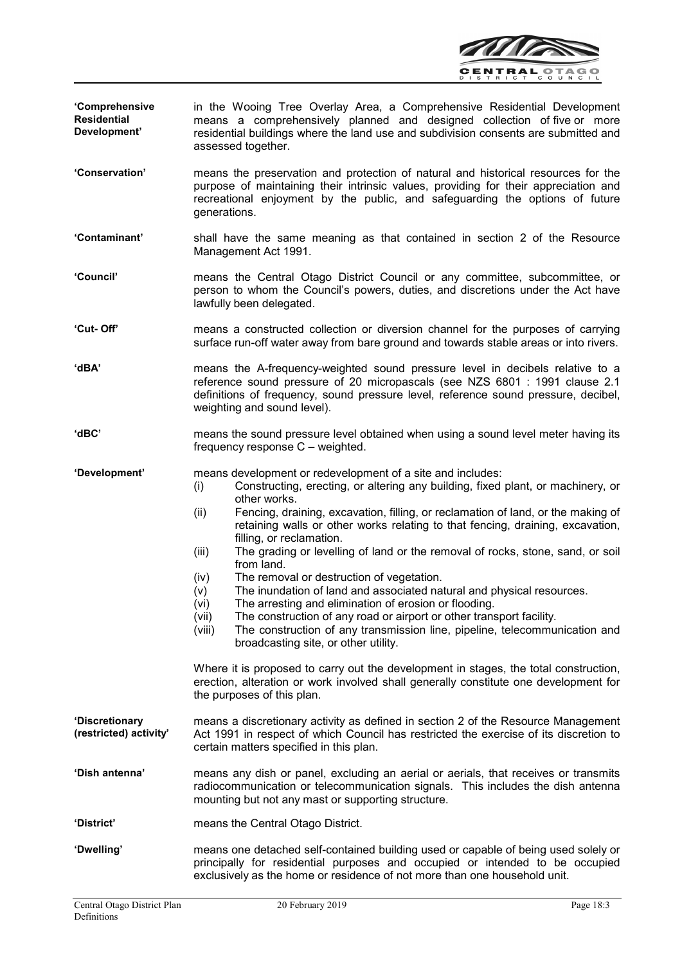

- 'Comprehensive **Residential** Development' in the Wooing Tree Overlay Area, a Comprehensive Residential Development means a comprehensively planned and designed collection of five or more residential buildings where the land use and subdivision consents are submitted and assessed together.
- 'Conservation' means the preservation and protection of natural and historical resources for the purpose of maintaining their intrinsic values, providing for their appreciation and recreational enjoyment by the public, and safeguarding the options of future generations.
- 'Contaminant' shall have the same meaning as that contained in section 2 of the Resource Management Act 1991.
- 'Council' means the Central Otago District Council or any committee, subcommittee, or person to whom the Council's powers, duties, and discretions under the Act have lawfully been delegated.
- 'Cut- Off' means a constructed collection or diversion channel for the purposes of carrying surface run-off water away from bare ground and towards stable areas or into rivers.
- 'dBA' means the A-frequency-weighted sound pressure level in decibels relative to a reference sound pressure of 20 micropascals (see NZS 6801 : 1991 clause 2.1 definitions of frequency, sound pressure level, reference sound pressure, decibel, weighting and sound level).
- 'dBC' means the sound pressure level obtained when using a sound level meter having its frequency response C – weighted.

'Development' means development or redevelopment of a site and includes:

- (i) Constructing, erecting, or altering any building, fixed plant, or machinery, or other works.
- (ii) Fencing, draining, excavation, filling, or reclamation of land, or the making of retaining walls or other works relating to that fencing, draining, excavation, filling, or reclamation.
- (iii) The grading or levelling of land or the removal of rocks, stone, sand, or soil from land.
- (iv) The removal or destruction of vegetation.
- (v) The inundation of land and associated natural and physical resources.
- (vi) The arresting and elimination of erosion or flooding.
- (vii) The construction of any road or airport or other transport facility.
- (viii) The construction of any transmission line, pipeline, telecommunication and broadcasting site, or other utility.

Where it is proposed to carry out the development in stages, the total construction, erection, alteration or work involved shall generally constitute one development for the purposes of this plan.

'Discretionary (restricted) activity' means a discretionary activity as defined in section 2 of the Resource Management Act 1991 in respect of which Council has restricted the exercise of its discretion to certain matters specified in this plan.

'Dish antenna' means any dish or panel, excluding an aerial or aerials, that receives or transmits radiocommunication or telecommunication signals. This includes the dish antenna mounting but not any mast or supporting structure.

- 'District' means the Central Otago District.
- 'Dwelling' means one detached self-contained building used or capable of being used solely or principally for residential purposes and occupied or intended to be occupied exclusively as the home or residence of not more than one household unit.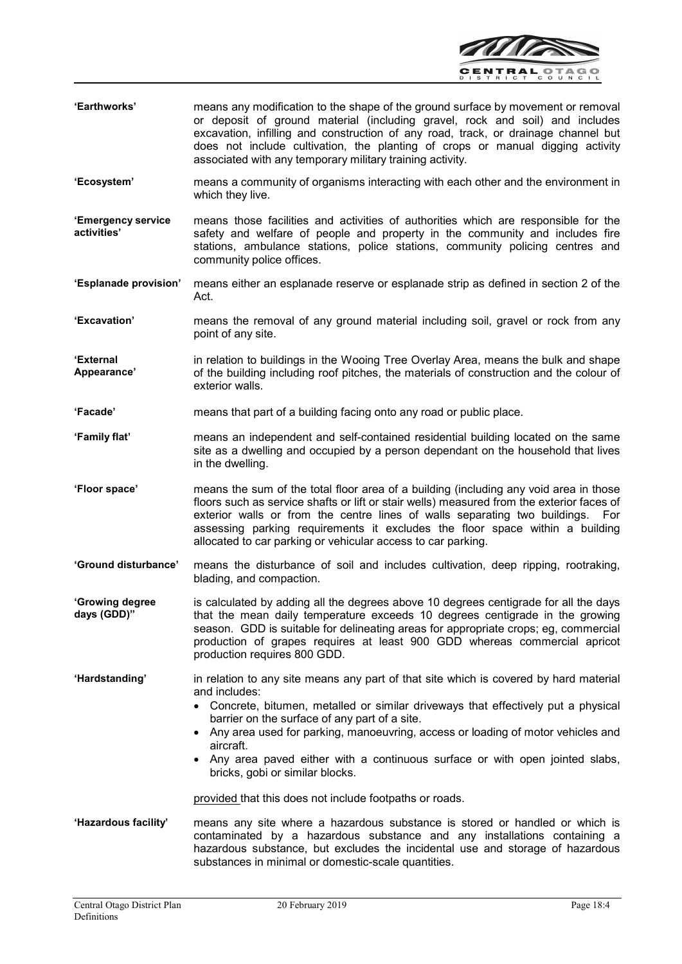

- 'Earthworks' means any modification to the shape of the ground surface by movement or removal or deposit of ground material (including gravel, rock and soil) and includes excavation, infilling and construction of any road, track, or drainage channel but does not include cultivation, the planting of crops or manual digging activity associated with any temporary military training activity.
- 'Ecosystem' means a community of organisms interacting with each other and the environment in which they live.
- 'Emergency service activities' means those facilities and activities of authorities which are responsible for the safety and welfare of people and property in the community and includes fire stations, ambulance stations, police stations, community policing centres and community police offices.
- 'Esplanade provision' means either an esplanade reserve or esplanade strip as defined in section 2 of the Act.
- 'Excavation' means the removal of any ground material including soil, gravel or rock from any point of any site.

'External Appearance' in relation to buildings in the Wooing Tree Overlay Area, means the bulk and shape of the building including roof pitches, the materials of construction and the colour of exterior walls.

- 'Facade' means that part of a building facing onto any road or public place.
- 'Family flat' means an independent and self-contained residential building located on the same site as a dwelling and occupied by a person dependant on the household that lives in the dwelling.
- 'Floor space' means the sum of the total floor area of a building (including any void area in those floors such as service shafts or lift or stair wells) measured from the exterior faces of exterior walls or from the centre lines of walls separating two buildings. For assessing parking requirements it excludes the floor space within a building allocated to car parking or vehicular access to car parking.
- 'Ground disturbance' means the disturbance of soil and includes cultivation, deep ripping, rootraking, blading, and compaction.
- 'Growing degree days (GDD)" is calculated by adding all the degrees above 10 degrees centigrade for all the days that the mean daily temperature exceeds 10 degrees centigrade in the growing season. GDD is suitable for delineating areas for appropriate crops; eg, commercial production of grapes requires at least 900 GDD whereas commercial apricot production requires 800 GDD.
- 'Hardstanding' in relation to any site means any part of that site which is covered by hard material and includes:
	- Concrete, bitumen, metalled or similar driveways that effectively put a physical barrier on the surface of any part of a site.
	- Any area used for parking, manoeuvring, access or loading of motor vehicles and aircraft.
	- Any area paved either with a continuous surface or with open jointed slabs, bricks, gobi or similar blocks.

provided that this does not include footpaths or roads.

'Hazardous facility' means any site where a hazardous substance is stored or handled or which is contaminated by a hazardous substance and any installations containing a hazardous substance, but excludes the incidental use and storage of hazardous substances in minimal or domestic-scale quantities.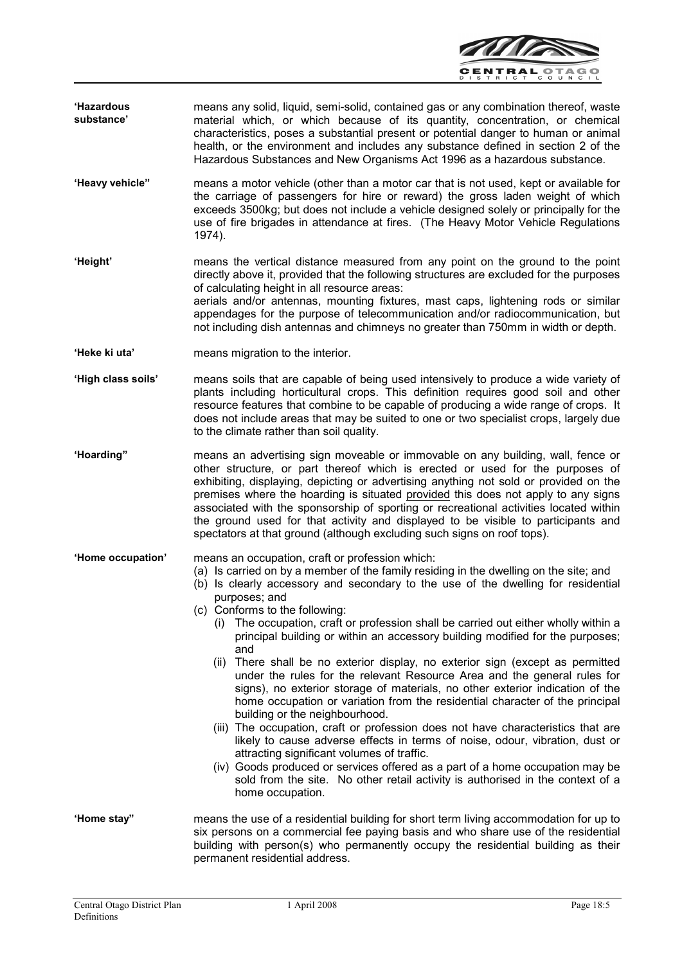

- 'Hazardous substance' means any solid, liquid, semi-solid, contained gas or any combination thereof, waste material which, or which because of its quantity, concentration, or chemical characteristics, poses a substantial present or potential danger to human or animal health, or the environment and includes any substance defined in section 2 of the Hazardous Substances and New Organisms Act 1996 as a hazardous substance.
- 'Heavy vehicle" means a motor vehicle (other than a motor car that is not used, kept or available for the carriage of passengers for hire or reward) the gross laden weight of which exceeds 3500kg; but does not include a vehicle designed solely or principally for the use of fire brigades in attendance at fires. (The Heavy Motor Vehicle Regulations 1974).
- 'Height' means the vertical distance measured from any point on the ground to the point directly above it, provided that the following structures are excluded for the purposes of calculating height in all resource areas: aerials and/or antennas, mounting fixtures, mast caps, lightening rods or similar appendages for the purpose of telecommunication and/or radiocommunication, but
- 'Heke ki uta' means migration to the interior.

- 'High class soils' means soils that are capable of being used intensively to produce a wide variety of plants including horticultural crops. This definition requires good soil and other resource features that combine to be capable of producing a wide range of crops. It does not include areas that may be suited to one or two specialist crops, largely due to the climate rather than soil quality.
- 'Hoarding" means an advertising sign moveable or immovable on any building, wall, fence or other structure, or part thereof which is erected or used for the purposes of exhibiting, displaying, depicting or advertising anything not sold or provided on the premises where the hoarding is situated provided this does not apply to any signs associated with the sponsorship of sporting or recreational activities located within the ground used for that activity and displayed to be visible to participants and spectators at that ground (although excluding such signs on roof tops).
- 'Home occupation' means an occupation, craft or profession which:
	- (a) Is carried on by a member of the family residing in the dwelling on the site; and

not including dish antennas and chimneys no greater than 750mm in width or depth.

- (b) Is clearly accessory and secondary to the use of the dwelling for residential purposes; and
- (c) Conforms to the following:
	- (i) The occupation, craft or profession shall be carried out either wholly within a principal building or within an accessory building modified for the purposes; and
	- (ii) There shall be no exterior display, no exterior sign (except as permitted under the rules for the relevant Resource Area and the general rules for signs), no exterior storage of materials, no other exterior indication of the home occupation or variation from the residential character of the principal building or the neighbourhood.
	- (iii) The occupation, craft or profession does not have characteristics that are likely to cause adverse effects in terms of noise, odour, vibration, dust or attracting significant volumes of traffic.
	- (iv) Goods produced or services offered as a part of a home occupation may be sold from the site. No other retail activity is authorised in the context of a home occupation.
- 'Home stay" means the use of a residential building for short term living accommodation for up to six persons on a commercial fee paying basis and who share use of the residential building with person(s) who permanently occupy the residential building as their permanent residential address.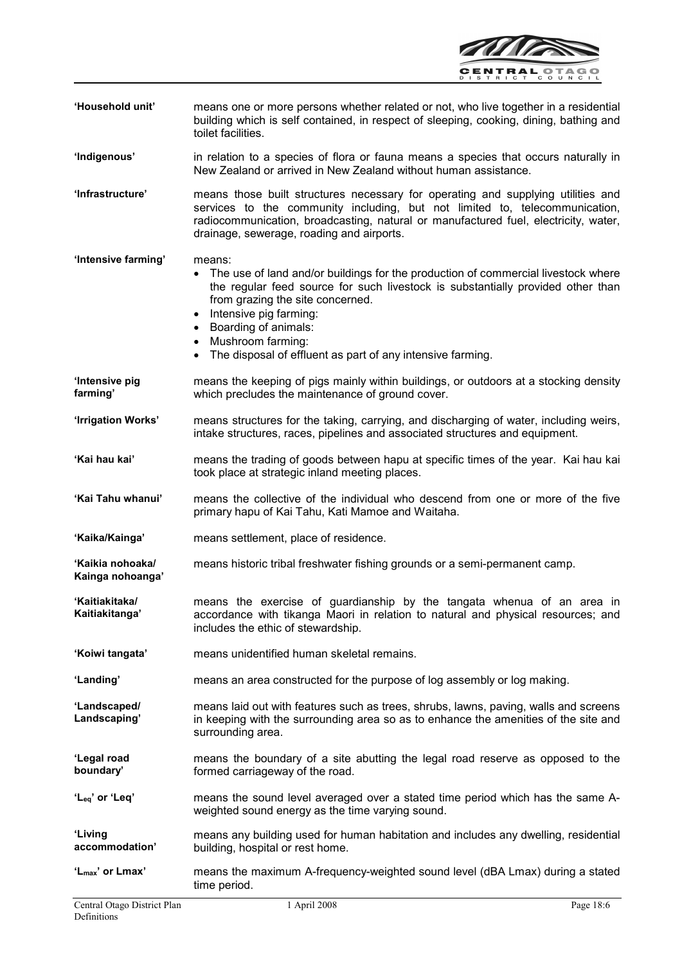

| 'Household unit'                     | means one or more persons whether related or not, who live together in a residential<br>building which is self contained, in respect of sleeping, cooking, dining, bathing and<br>toilet facilities.                                                                                                                                                                                |
|--------------------------------------|-------------------------------------------------------------------------------------------------------------------------------------------------------------------------------------------------------------------------------------------------------------------------------------------------------------------------------------------------------------------------------------|
| 'Indigenous'                         | in relation to a species of flora or fauna means a species that occurs naturally in<br>New Zealand or arrived in New Zealand without human assistance.                                                                                                                                                                                                                              |
| 'Infrastructure'                     | means those built structures necessary for operating and supplying utilities and<br>services to the community including, but not limited to, telecommunication,<br>radiocommunication, broadcasting, natural or manufactured fuel, electricity, water,<br>drainage, sewerage, roading and airports.                                                                                 |
| 'Intensive farming'                  | means:<br>The use of land and/or buildings for the production of commercial livestock where<br>the regular feed source for such livestock is substantially provided other than<br>from grazing the site concerned.<br>Intensive pig farming:<br>• Boarding of animals:<br>Mushroom farming:<br>$\bullet$<br>The disposal of effluent as part of any intensive farming.<br>$\bullet$ |
| 'Intensive pig<br>farming'           | means the keeping of pigs mainly within buildings, or outdoors at a stocking density<br>which precludes the maintenance of ground cover.                                                                                                                                                                                                                                            |
| 'Irrigation Works'                   | means structures for the taking, carrying, and discharging of water, including weirs,<br>intake structures, races, pipelines and associated structures and equipment.                                                                                                                                                                                                               |
| 'Kai hau kai'                        | means the trading of goods between hapu at specific times of the year. Kai hau kai<br>took place at strategic inland meeting places.                                                                                                                                                                                                                                                |
| 'Kai Tahu whanui'                    | means the collective of the individual who descend from one or more of the five<br>primary hapu of Kai Tahu, Kati Mamoe and Waitaha.                                                                                                                                                                                                                                                |
| 'Kaika/Kainga'                       | means settlement, place of residence.                                                                                                                                                                                                                                                                                                                                               |
| 'Kaikia nohoaka/<br>Kainga nohoanga' | means historic tribal freshwater fishing grounds or a semi-permanent camp.                                                                                                                                                                                                                                                                                                          |
| 'Kaitiakitaka/<br>Kaitiakitanga'     | means the exercise of guardianship by the tangata whenua of an area in<br>accordance with tikanga Maori in relation to natural and physical resources; and<br>includes the ethic of stewardship.                                                                                                                                                                                    |
| 'Koiwi tangata'                      | means unidentified human skeletal remains.                                                                                                                                                                                                                                                                                                                                          |
| 'Landing'                            | means an area constructed for the purpose of log assembly or log making.                                                                                                                                                                                                                                                                                                            |
| 'Landscaped/<br>Landscaping'         | means laid out with features such as trees, shrubs, lawns, paving, walls and screens<br>in keeping with the surrounding area so as to enhance the amenities of the site and<br>surrounding area.                                                                                                                                                                                    |
| 'Legal road<br>boundary'             | means the boundary of a site abutting the legal road reserve as opposed to the<br>formed carriageway of the road.                                                                                                                                                                                                                                                                   |
| 'L <sub>eq</sub> ' or 'Leq'          | means the sound level averaged over a stated time period which has the same A-<br>weighted sound energy as the time varying sound.                                                                                                                                                                                                                                                  |
| 'Living<br>accommodation'            | means any building used for human habitation and includes any dwelling, residential<br>building, hospital or rest home.                                                                                                                                                                                                                                                             |
| 'L <sub>max</sub> ' or Lmax'         | means the maximum A-frequency-weighted sound level (dBA Lmax) during a stated<br>time period.                                                                                                                                                                                                                                                                                       |
| Central Otago District Plan          | 1 April 2008<br>Page 18:6                                                                                                                                                                                                                                                                                                                                                           |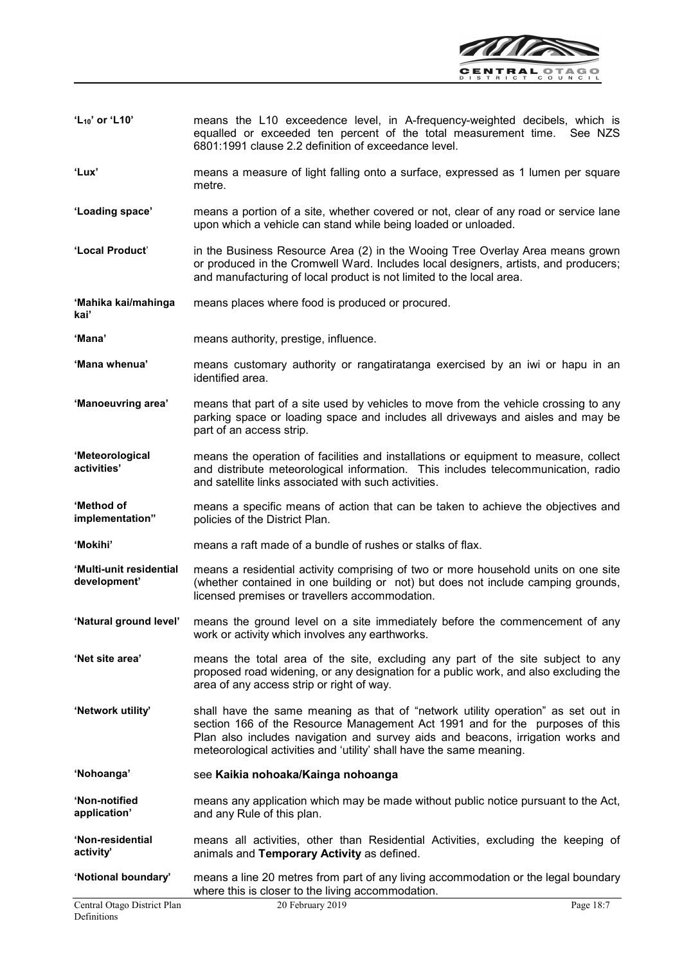

- 'L10' or 'L10' means the L10 exceedence level, in A-frequency-weighted decibels, which is equalled or exceeded ten percent of the total measurement time. See NZS 6801:1991 clause 2.2 definition of exceedance level.
- 'Lux' means a measure of light falling onto a surface, expressed as 1 lumen per square metre.
- 'Loading space' means a portion of a site, whether covered or not, clear of any road or service lane upon which a vehicle can stand while being loaded or unloaded.
- 'Local Product' in the Business Resource Area (2) in the Wooing Tree Overlay Area means grown or produced in the Cromwell Ward. Includes local designers, artists, and producers; and manufacturing of local product is not limited to the local area.

'Mahika kai/mahinga kai' means places where food is produced or procured.

'Mana' means authority, prestige, influence.

 $\overline{\phantom{a}}$ 

- 'Mana whenua' means customary authority or rangatiratanga exercised by an iwi or hapu in an identified area.
- 'Manoeuvring area' means that part of a site used by vehicles to move from the vehicle crossing to any parking space or loading space and includes all driveways and aisles and may be part of an access strip.

'Meteorological activities' means the operation of facilities and installations or equipment to measure, collect and distribute meteorological information. This includes telecommunication, radio and satellite links associated with such activities.

- 'Method of implementation" means a specific means of action that can be taken to achieve the objectives and policies of the District Plan.
- 'Mokihi' means a raft made of a bundle of rushes or stalks of flax.
- 'Multi-unit residential development' means a residential activity comprising of two or more household units on one site (whether contained in one building or not) but does not include camping grounds, licensed premises or travellers accommodation.
- 'Natural ground level' means the ground level on a site immediately before the commencement of any work or activity which involves any earthworks.
- 'Net site area' means the total area of the site, excluding any part of the site subject to any proposed road widening, or any designation for a public work, and also excluding the area of any access strip or right of way.
- 'Network utility' shall have the same meaning as that of "network utility operation" as set out in section 166 of the Resource Management Act 1991 and for the purposes of this Plan also includes navigation and survey aids and beacons, irrigation works and meteorological activities and 'utility' shall have the same meaning.
- 'Nohoanga' see Kaikia nohoaka/Kainga nohoanga
- 'Non-notified application' means any application which may be made without public notice pursuant to the Act, and any Rule of this plan.
- 'Non-residential activity' means all activities, other than Residential Activities, excluding the keeping of animals and Temporary Activity as defined.

'Notional boundary' means a line 20 metres from part of any living accommodation or the legal boundary where this is closer to the living accommodation.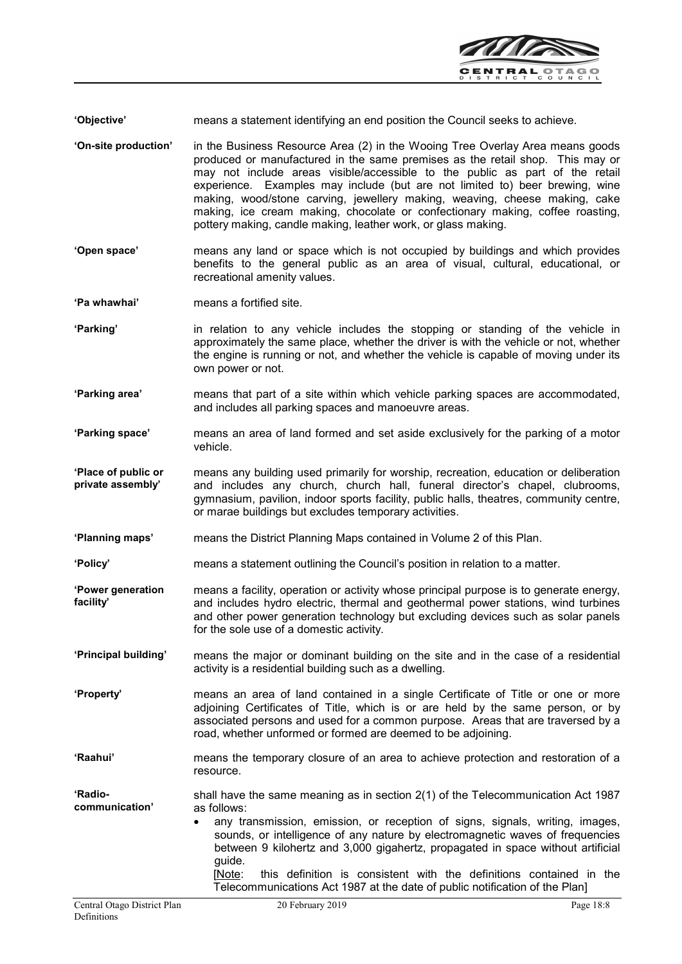

'Objective' means a statement identifying an end position the Council seeks to achieve.

- 'On-site production' in the Business Resource Area (2) in the Wooing Tree Overlay Area means goods produced or manufactured in the same premises as the retail shop. This may or may not include areas visible/accessible to the public as part of the retail experience. Examples may include (but are not limited to) beer brewing, wine making, wood/stone carving, jewellery making, weaving, cheese making, cake making, ice cream making, chocolate or confectionary making, coffee roasting, pottery making, candle making, leather work, or glass making.
- 'Open space' means any land or space which is not occupied by buildings and which provides benefits to the general public as an area of visual, cultural, educational, or recreational amenity values.

'Pa whawhai' means a fortified site.

 $\overline{\phantom{a}}$ 

- 'Parking' in relation to any vehicle includes the stopping or standing of the vehicle in approximately the same place, whether the driver is with the vehicle or not, whether the engine is running or not, and whether the vehicle is capable of moving under its own power or not.
- 'Parking area' means that part of a site within which vehicle parking spaces are accommodated, and includes all parking spaces and manoeuvre areas.
- 'Parking space' means an area of land formed and set aside exclusively for the parking of a motor vehicle.
- 'Place of public or private assembly' means any building used primarily for worship, recreation, education or deliberation and includes any church, church hall, funeral director's chapel, clubrooms, gymnasium, pavilion, indoor sports facility, public halls, theatres, community centre, or marae buildings but excludes temporary activities.
- 'Planning maps' means the District Planning Maps contained in Volume 2 of this Plan.

'Policy' means a statement outlining the Council's position in relation to a matter.

'Power generation facility' means a facility, operation or activity whose principal purpose is to generate energy, and includes hydro electric, thermal and geothermal power stations, wind turbines and other power generation technology but excluding devices such as solar panels for the sole use of a domestic activity.

'Principal building' means the major or dominant building on the site and in the case of a residential activity is a residential building such as a dwelling.

- 'Property' means an area of land contained in a single Certificate of Title or one or more adjoining Certificates of Title, which is or are held by the same person, or by associated persons and used for a common purpose. Areas that are traversed by a road, whether unformed or formed are deemed to be adjoining.
- 'Raahui' means the temporary closure of an area to achieve protection and restoration of a resource.

'Radiocommunication' shall have the same meaning as in section 2(1) of the Telecommunication Act 1987 as follows:

> any transmission, emission, or reception of signs, signals, writing, images, sounds, or intelligence of any nature by electromagnetic waves of frequencies between 9 kilohertz and 3,000 gigahertz, propagated in space without artificial guide.

[Note: this definition is consistent with the definitions contained in the Telecommunications Act 1987 at the date of public notification of the Plan]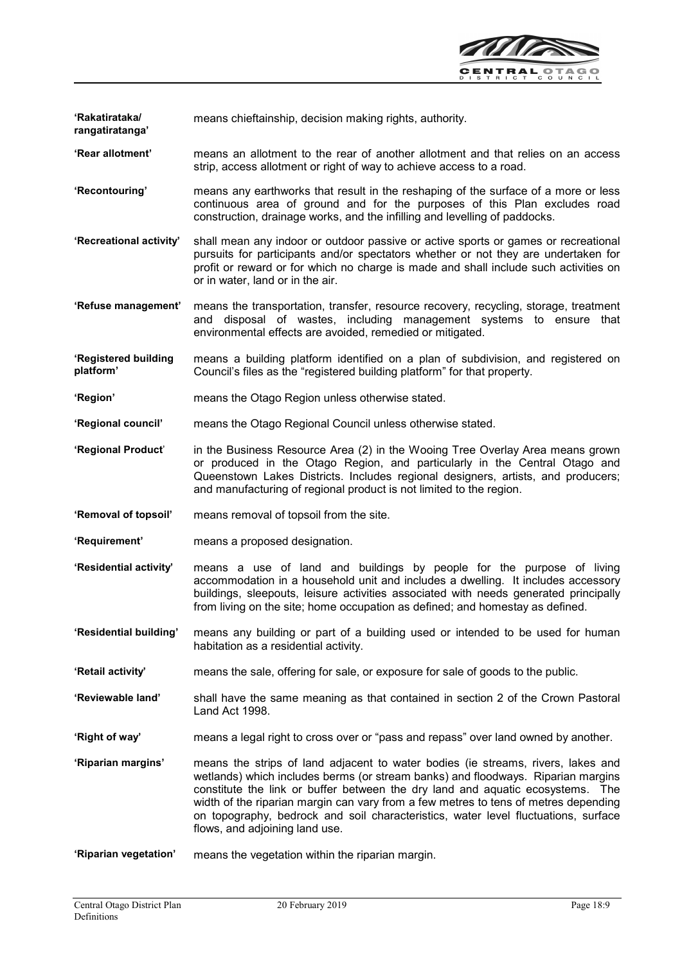

'Rakatirataka/ rangatiratanga' means chieftainship, decision making rights, authority.

- 'Rear allotment' means an allotment to the rear of another allotment and that relies on an access strip, access allotment or right of way to achieve access to a road.
- 'Recontouring' means any earthworks that result in the reshaping of the surface of a more or less continuous area of ground and for the purposes of this Plan excludes road construction, drainage works, and the infilling and levelling of paddocks.
- 'Recreational activity' shall mean any indoor or outdoor passive or active sports or games or recreational pursuits for participants and/or spectators whether or not they are undertaken for profit or reward or for which no charge is made and shall include such activities on or in water, land or in the air.
- 'Refuse management' means the transportation, transfer, resource recovery, recycling, storage, treatment and disposal of wastes, including management systems to ensure that environmental effects are avoided, remedied or mitigated.
- 'Registered building platform' means a building platform identified on a plan of subdivision, and registered on Council's files as the "registered building platform" for that property.
- 'Region' means the Otago Region unless otherwise stated.
- 'Regional council' means the Otago Regional Council unless otherwise stated.
- 'Regional Product' in the Business Resource Area (2) in the Wooing Tree Overlay Area means grown or produced in the Otago Region, and particularly in the Central Otago and Queenstown Lakes Districts. Includes regional designers, artists, and producers; and manufacturing of regional product is not limited to the region.
- 'Removal of topsoil' means removal of topsoil from the site.
- 'Requirement' means a proposed designation.
- 'Residential activity' means a use of land and buildings by people for the purpose of living accommodation in a household unit and includes a dwelling. It includes accessory buildings, sleepouts, leisure activities associated with needs generated principally from living on the site; home occupation as defined; and homestay as defined.
- 'Residential building' means any building or part of a building used or intended to be used for human habitation as a residential activity.
- 'Retail activity' means the sale, offering for sale, or exposure for sale of goods to the public.
- 'Reviewable land' shall have the same meaning as that contained in section 2 of the Crown Pastoral Land Act 1998.
- 'Right of way' means a legal right to cross over or "pass and repass" over land owned by another.
- 'Riparian margins' means the strips of land adjacent to water bodies (ie streams, rivers, lakes and wetlands) which includes berms (or stream banks) and floodways. Riparian margins constitute the link or buffer between the dry land and aquatic ecosystems. The width of the riparian margin can vary from a few metres to tens of metres depending on topography, bedrock and soil characteristics, water level fluctuations, surface flows, and adjoining land use.
- 'Riparian vegetation' means the vegetation within the riparian margin.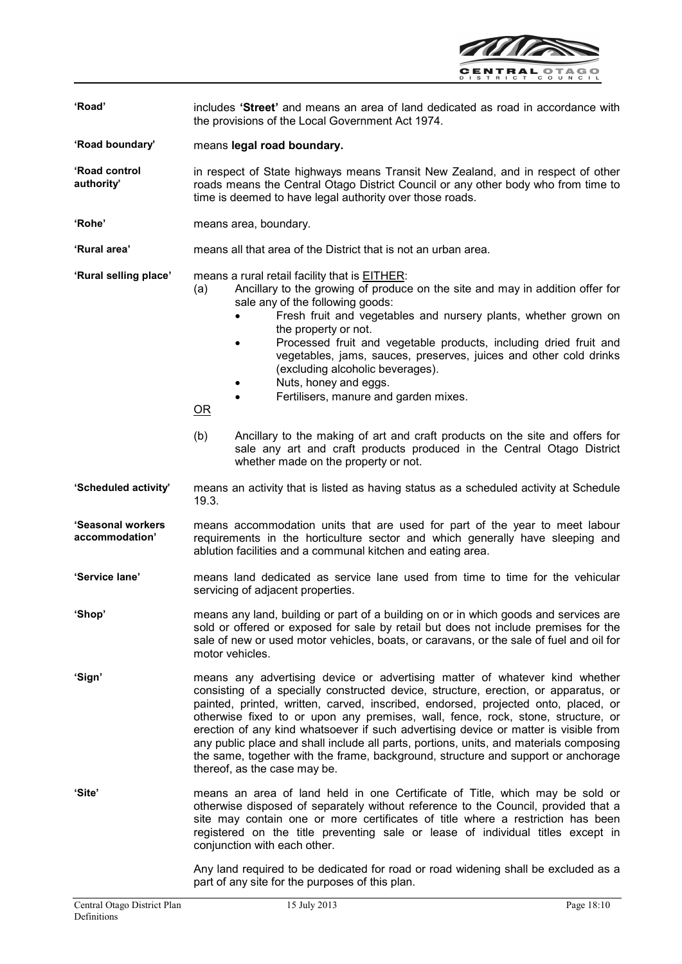

| 'Road'                              | includes 'Street' and means an area of land dedicated as road in accordance with<br>the provisions of the Local Government Act 1974.                                                                                                                                                                                                                                                                                                                                                                                                                                                                                                                                                                                                                                                     |
|-------------------------------------|------------------------------------------------------------------------------------------------------------------------------------------------------------------------------------------------------------------------------------------------------------------------------------------------------------------------------------------------------------------------------------------------------------------------------------------------------------------------------------------------------------------------------------------------------------------------------------------------------------------------------------------------------------------------------------------------------------------------------------------------------------------------------------------|
| 'Road boundary'                     | means legal road boundary.                                                                                                                                                                                                                                                                                                                                                                                                                                                                                                                                                                                                                                                                                                                                                               |
| 'Road control<br>authority'         | in respect of State highways means Transit New Zealand, and in respect of other<br>roads means the Central Otago District Council or any other body who from time to<br>time is deemed to have legal authority over those roads.                                                                                                                                                                                                                                                                                                                                                                                                                                                                                                                                                         |
| 'Rohe'                              | means area, boundary.                                                                                                                                                                                                                                                                                                                                                                                                                                                                                                                                                                                                                                                                                                                                                                    |
| 'Rural area'                        | means all that area of the District that is not an urban area.                                                                                                                                                                                                                                                                                                                                                                                                                                                                                                                                                                                                                                                                                                                           |
| 'Rural selling place'               | means a rural retail facility that is <b>EITHER:</b><br>Ancillary to the growing of produce on the site and may in addition offer for<br>(a)<br>sale any of the following goods:<br>Fresh fruit and vegetables and nursery plants, whether grown on<br>the property or not.<br>Processed fruit and vegetable products, including dried fruit and<br>$\bullet$<br>vegetables, jams, sauces, preserves, juices and other cold drinks<br>(excluding alcoholic beverages).<br>Nuts, honey and eggs.<br>Fertilisers, manure and garden mixes.<br>$\bullet$<br>$\overline{\text{OR}}$<br>(b)<br>Ancillary to the making of art and craft products on the site and offers for<br>sale any art and craft products produced in the Central Otago District<br>whether made on the property or not. |
| 'Scheduled activity'                | means an activity that is listed as having status as a scheduled activity at Schedule<br>19.3.                                                                                                                                                                                                                                                                                                                                                                                                                                                                                                                                                                                                                                                                                           |
| 'Seasonal workers<br>accommodation' | means accommodation units that are used for part of the year to meet labour<br>requirements in the horticulture sector and which generally have sleeping and<br>ablution facilities and a communal kitchen and eating area.                                                                                                                                                                                                                                                                                                                                                                                                                                                                                                                                                              |
| 'Service lane'                      | means land dedicated as service lane used from time to time for the vehicular<br>servicing of adjacent properties.                                                                                                                                                                                                                                                                                                                                                                                                                                                                                                                                                                                                                                                                       |
| 'Shop'                              | means any land, building or part of a building on or in which goods and services are<br>sold or offered or exposed for sale by retail but does not include premises for the<br>sale of new or used motor vehicles, boats, or caravans, or the sale of fuel and oil for<br>motor vehicles.                                                                                                                                                                                                                                                                                                                                                                                                                                                                                                |
| 'Sign'                              | means any advertising device or advertising matter of whatever kind whether<br>consisting of a specially constructed device, structure, erection, or apparatus, or<br>painted, printed, written, carved, inscribed, endorsed, projected onto, placed, or<br>otherwise fixed to or upon any premises, wall, fence, rock, stone, structure, or<br>erection of any kind whatsoever if such advertising device or matter is visible from<br>any public place and shall include all parts, portions, units, and materials composing<br>the same, together with the frame, background, structure and support or anchorage<br>thereof, as the case may be.                                                                                                                                      |
| 'Site'                              | means an area of land held in one Certificate of Title, which may be sold or<br>otherwise disposed of separately without reference to the Council, provided that a<br>site may contain one or more certificates of title where a restriction has been<br>registered on the title preventing sale or lease of individual titles except in<br>conjunction with each other.                                                                                                                                                                                                                                                                                                                                                                                                                 |

Any land required to be dedicated for road or road widening shall be excluded as a part of any site for the purposes of this plan.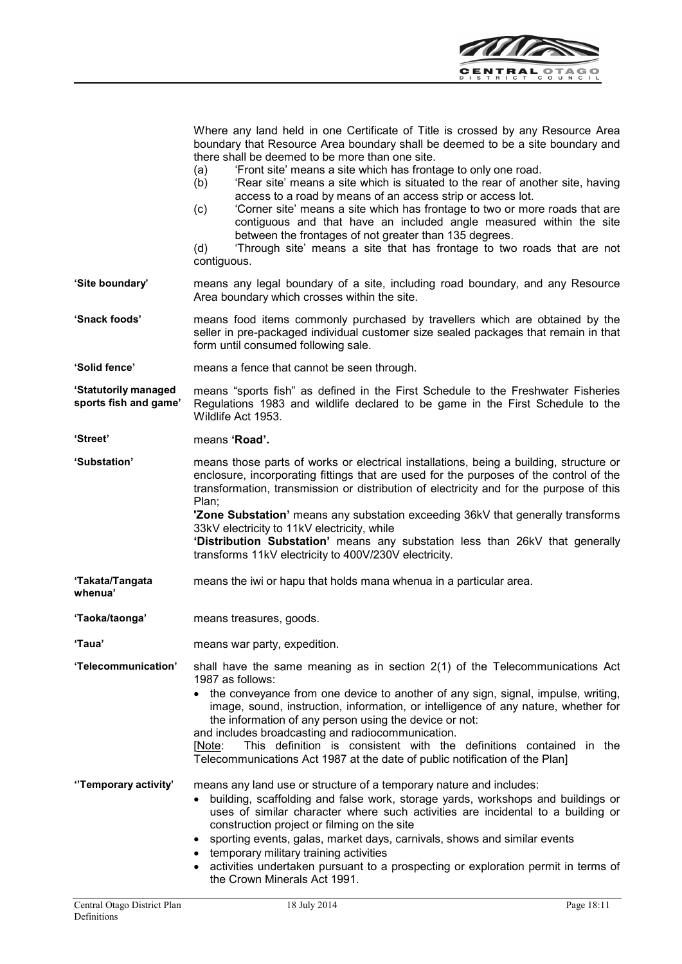

|                                               | Where any land held in one Certificate of Title is crossed by any Resource Area<br>boundary that Resource Area boundary shall be deemed to be a site boundary and<br>there shall be deemed to be more than one site.<br>'Front site' means a site which has frontage to only one road.<br>(a)<br>'Rear site' means a site which is situated to the rear of another site, having<br>(b)<br>access to a road by means of an access strip or access lot.<br>'Corner site' means a site which has frontage to two or more roads that are<br>(c)<br>contiguous and that have an included angle measured within the site<br>between the frontages of not greater than 135 degrees.<br>'Through site' means a site that has frontage to two roads that are not<br>(d)<br>contiguous. |
|-----------------------------------------------|-------------------------------------------------------------------------------------------------------------------------------------------------------------------------------------------------------------------------------------------------------------------------------------------------------------------------------------------------------------------------------------------------------------------------------------------------------------------------------------------------------------------------------------------------------------------------------------------------------------------------------------------------------------------------------------------------------------------------------------------------------------------------------|
| 'Site boundary'                               | means any legal boundary of a site, including road boundary, and any Resource<br>Area boundary which crosses within the site.                                                                                                                                                                                                                                                                                                                                                                                                                                                                                                                                                                                                                                                 |
| 'Snack foods'                                 | means food items commonly purchased by travellers which are obtained by the<br>seller in pre-packaged individual customer size sealed packages that remain in that<br>form until consumed following sale.                                                                                                                                                                                                                                                                                                                                                                                                                                                                                                                                                                     |
| 'Solid fence'                                 | means a fence that cannot be seen through.                                                                                                                                                                                                                                                                                                                                                                                                                                                                                                                                                                                                                                                                                                                                    |
| 'Statutorily managed<br>sports fish and game' | means "sports fish" as defined in the First Schedule to the Freshwater Fisheries<br>Regulations 1983 and wildlife declared to be game in the First Schedule to the<br>Wildlife Act 1953.                                                                                                                                                                                                                                                                                                                                                                                                                                                                                                                                                                                      |
| 'Street'                                      | means 'Road'.                                                                                                                                                                                                                                                                                                                                                                                                                                                                                                                                                                                                                                                                                                                                                                 |
| <b>'Substation'</b>                           | means those parts of works or electrical installations, being a building, structure or<br>enclosure, incorporating fittings that are used for the purposes of the control of the<br>transformation, transmission or distribution of electricity and for the purpose of this<br>Plan;<br><b>Zone Substation'</b> means any substation exceeding 36kV that generally transforms<br>33kV electricity to 11kV electricity, while<br>'Distribution Substation' means any substation less than 26kV that generally<br>transforms 11kV electricity to 400V/230V electricity.                                                                                                                                                                                                         |
| 'Takata/Tangata<br>whenua'                    | means the iwi or hapu that holds mana whenua in a particular area.                                                                                                                                                                                                                                                                                                                                                                                                                                                                                                                                                                                                                                                                                                            |
| 'Taoka/taonga'                                | means treasures, goods.                                                                                                                                                                                                                                                                                                                                                                                                                                                                                                                                                                                                                                                                                                                                                       |
| 'Taua'                                        | means war party, expedition.                                                                                                                                                                                                                                                                                                                                                                                                                                                                                                                                                                                                                                                                                                                                                  |
| 'Telecommunication'                           | shall have the same meaning as in section $2(1)$ of the Telecommunications Act<br>1987 as follows:<br>the conveyance from one device to another of any sign, signal, impulse, writing,<br>image, sound, instruction, information, or intelligence of any nature, whether for<br>the information of any person using the device or not:<br>and includes broadcasting and radiocommunication.<br>This definition is consistent with the definitions contained in the<br>[Note:<br>Telecommunications Act 1987 at the date of public notification of the Plan]                                                                                                                                                                                                                   |
| "Temporary activity"                          | means any land use or structure of a temporary nature and includes:<br>building, scaffolding and false work, storage yards, workshops and buildings or<br>٠<br>uses of similar character where such activities are incidental to a building or<br>construction project or filming on the site<br>sporting events, galas, market days, carnivals, shows and similar events<br>temporary military training activities<br>activities undertaken pursuant to a prospecting or exploration permit in terms of<br>the Crown Minerals Act 1991.                                                                                                                                                                                                                                      |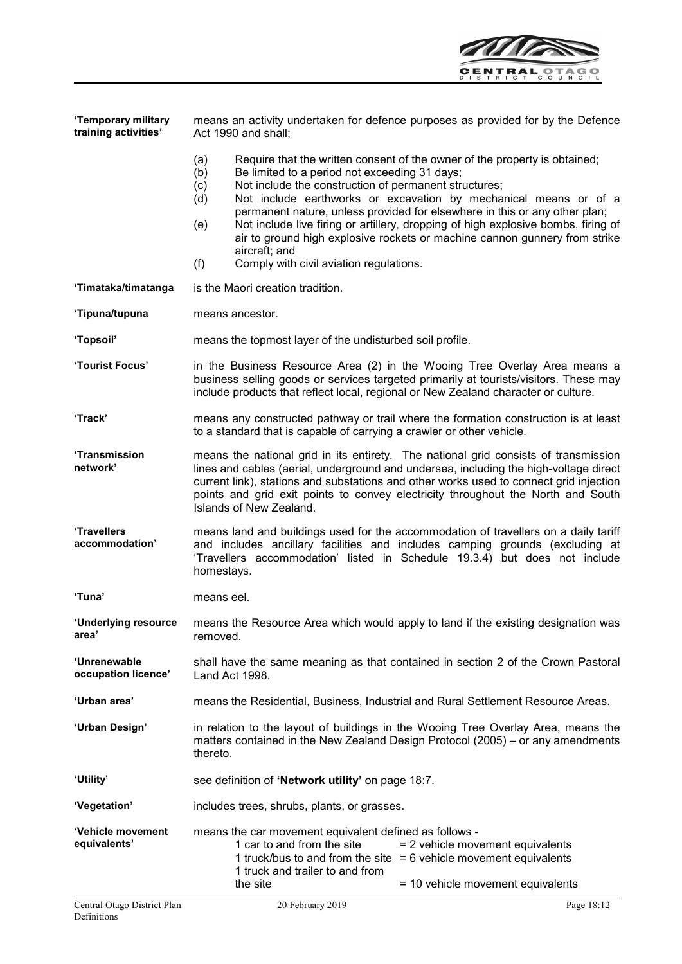

| 'Temporary military<br>training activities' | means an activity undertaken for defence purposes as provided for by the Defence<br>Act 1990 and shall;                                                                                                                                                                                                                                                                                                                                                                                                                                                                                                         |
|---------------------------------------------|-----------------------------------------------------------------------------------------------------------------------------------------------------------------------------------------------------------------------------------------------------------------------------------------------------------------------------------------------------------------------------------------------------------------------------------------------------------------------------------------------------------------------------------------------------------------------------------------------------------------|
|                                             | (a)<br>Require that the written consent of the owner of the property is obtained;<br>(b)<br>Be limited to a period not exceeding 31 days;<br>Not include the construction of permanent structures;<br>(c)<br>Not include earthworks or excavation by mechanical means or of a<br>(d)<br>permanent nature, unless provided for elsewhere in this or any other plan;<br>Not include live firing or artillery, dropping of high explosive bombs, firing of<br>(e)<br>air to ground high explosive rockets or machine cannon gunnery from strike<br>aircraft; and<br>(f)<br>Comply with civil aviation regulations. |
| 'Timataka/timatanga                         | is the Maori creation tradition.                                                                                                                                                                                                                                                                                                                                                                                                                                                                                                                                                                                |
| 'Tipuna/tupuna                              | means ancestor.                                                                                                                                                                                                                                                                                                                                                                                                                                                                                                                                                                                                 |
| 'Topsoil'                                   | means the topmost layer of the undisturbed soil profile.                                                                                                                                                                                                                                                                                                                                                                                                                                                                                                                                                        |
| 'Tourist Focus'                             | in the Business Resource Area (2) in the Wooing Tree Overlay Area means a<br>business selling goods or services targeted primarily at tourists/visitors. These may<br>include products that reflect local, regional or New Zealand character or culture.                                                                                                                                                                                                                                                                                                                                                        |
| 'Track'                                     | means any constructed pathway or trail where the formation construction is at least<br>to a standard that is capable of carrying a crawler or other vehicle.                                                                                                                                                                                                                                                                                                                                                                                                                                                    |
| <b>'Transmission</b><br>network'            | means the national grid in its entirety. The national grid consists of transmission<br>lines and cables (aerial, underground and undersea, including the high-voltage direct<br>current link), stations and substations and other works used to connect grid injection<br>points and grid exit points to convey electricity throughout the North and South<br>Islands of New Zealand.                                                                                                                                                                                                                           |
| 'Travellers<br>accommodation'               | means land and buildings used for the accommodation of travellers on a daily tariff<br>and includes ancillary facilities and includes camping grounds (excluding at<br>'Travellers accommodation' listed in Schedule 19.3.4) but does not include<br>homestays.                                                                                                                                                                                                                                                                                                                                                 |
| 'Tuna'                                      | means eel.                                                                                                                                                                                                                                                                                                                                                                                                                                                                                                                                                                                                      |
| 'Underlying resource<br>area'               | means the Resource Area which would apply to land if the existing designation was<br>removed.                                                                                                                                                                                                                                                                                                                                                                                                                                                                                                                   |
| 'Unrenewable<br>occupation licence'         | shall have the same meaning as that contained in section 2 of the Crown Pastoral<br>Land Act 1998.                                                                                                                                                                                                                                                                                                                                                                                                                                                                                                              |
| 'Urban area'                                | means the Residential, Business, Industrial and Rural Settlement Resource Areas.                                                                                                                                                                                                                                                                                                                                                                                                                                                                                                                                |
| 'Urban Design'                              | in relation to the layout of buildings in the Wooing Tree Overlay Area, means the<br>matters contained in the New Zealand Design Protocol (2005) – or any amendments<br>thereto.                                                                                                                                                                                                                                                                                                                                                                                                                                |
| 'Utility'                                   | see definition of 'Network utility' on page 18:7.                                                                                                                                                                                                                                                                                                                                                                                                                                                                                                                                                               |
| 'Vegetation'                                | includes trees, shrubs, plants, or grasses.                                                                                                                                                                                                                                                                                                                                                                                                                                                                                                                                                                     |
| 'Vehicle movement<br>equivalents'           | means the car movement equivalent defined as follows -<br>1 car to and from the site<br>= 2 vehicle movement equivalents<br>1 truck/bus to and from the site $= 6$ vehicle movement equivalents<br>1 truck and trailer to and from<br>the site<br>= 10 vehicle movement equivalents                                                                                                                                                                                                                                                                                                                             |